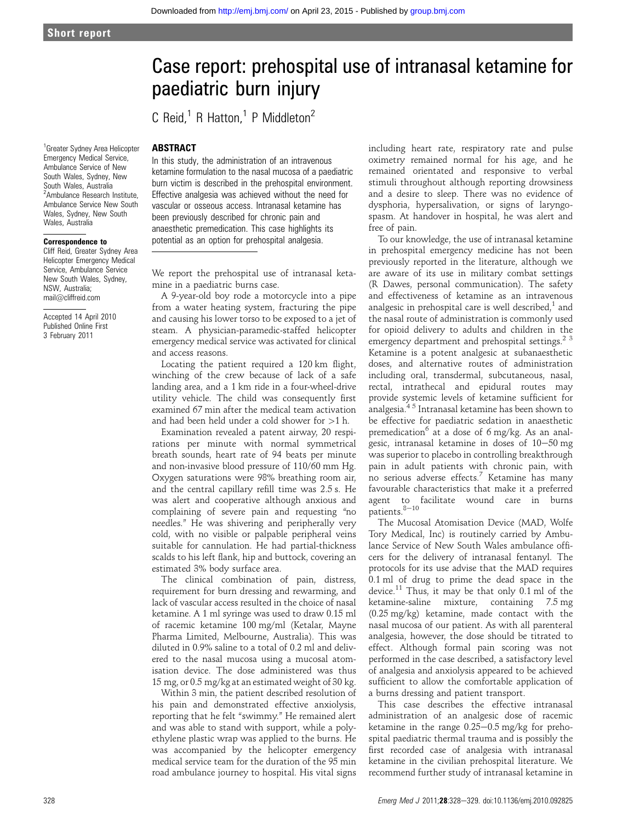<sup>1</sup> Greater Sydney Area Helicopter Emergency Medical Service, Ambulance Service of New South Wales, Sydney, New South Wales, Australia <sup>2</sup> Ambulance Research Institute, Ambulance Service New South Wales, Sydney, New South Wales, Australia

#### Correspondence to

Cliff Reid, Greater Sydney Area Helicopter Emergency Medical Service, Ambulance Service New South Wales, Sydney, NSW, Australia; mail@cliffreid.com

Accepted 14 April 2010 Published Online First 3 February 2011

## Case report: prehospital use of intranasal ketamine for paediatric burn injury

C Reid<sup>1</sup> R Hatton<sup>1</sup> P Middleton<sup>2</sup>

#### ABSTRACT

In this study, the administration of an intravenous ketamine formulation to the nasal mucosa of a paediatric burn victim is described in the prehospital environment. Effective analgesia was achieved without the need for vascular or osseous access. Intranasal ketamine has been previously described for chronic pain and anaesthetic premedication. This case highlights its potential as an option for prehospital analgesia.

We report the prehospital use of intranasal ketamine in a paediatric burns case.

A 9-year-old boy rode a motorcycle into a pipe from a water heating system, fracturing the pipe and causing his lower torso to be exposed to a jet of steam. A physician-paramedic-staffed helicopter emergency medical service was activated for clinical and access reasons.

Locating the patient required a 120 km flight, winching of the crew because of lack of a safe landing area, and a 1 km ride in a four-wheel-drive utility vehicle. The child was consequently first examined 67 min after the medical team activation and had been held under a cold shower for  $>1$  h.

Examination revealed a patent airway, 20 respirations per minute with normal symmetrical breath sounds, heart rate of 94 beats per minute and non-invasive blood pressure of 110/60 mm Hg. Oxygen saturations were 98% breathing room air, and the central capillary refill time was 2.5 s. He was alert and cooperative although anxious and complaining of severe pain and requesting "no needles." He was shivering and peripherally very cold, with no visible or palpable peripheral veins suitable for cannulation. He had partial-thickness scalds to his left flank, hip and buttock, covering an estimated 3% body surface area.

The clinical combination of pain, distress, requirement for burn dressing and rewarming, and lack of vascular access resulted in the choice of nasal ketamine. A 1 ml syringe was used to draw 0.15 ml of racemic ketamine 100 mg/ml (Ketalar, Mayne Pharma Limited, Melbourne, Australia). This was diluted in 0.9% saline to a total of 0.2 ml and delivered to the nasal mucosa using a mucosal atomisation device. The dose administered was thus 15 mg, or 0.5 mg/kg at an estimated weight of 30 kg.

Within 3 min, the patient described resolution of his pain and demonstrated effective anxiolysis, reporting that he felt "swimmy." He remained alert and was able to stand with support, while a polyethylene plastic wrap was applied to the burns. He was accompanied by the helicopter emergency medical service team for the duration of the 95 min road ambulance journey to hospital. His vital signs

including heart rate, respiratory rate and pulse oximetry remained normal for his age, and he remained orientated and responsive to verbal stimuli throughout although reporting drowsiness and a desire to sleep. There was no evidence of dysphoria, hypersalivation, or signs of laryngospasm. At handover in hospital, he was alert and free of pain.

To our knowledge, the use of intranasal ketamine in prehospital emergency medicine has not been previously reported in the literature, although we are aware of its use in military combat settings (R Dawes, personal communication). The safety and effectiveness of ketamine as an intravenous analgesic in prehospital care is well described, $<sup>1</sup>$  and</sup> the nasal route of administration is commonly used for opioid delivery to adults and children in the emergency department and prehospital settings.<sup>2</sup><sup>3</sup> Ketamine is a potent analgesic at subanaesthetic doses, and alternative routes of administration including oral, transdermal, subcutaneous, nasal, rectal, intrathecal and epidural routes may provide systemic levels of ketamine sufficient for analgesia.4 5 Intranasal ketamine has been shown to be effective for paediatric sedation in anaesthetic premedication<sup>6</sup> at a dose of 6 mg/kg. As an analgesic, intranasal ketamine in doses of  $10-50$  mg was superior to placebo in controlling breakthrough pain in adult patients with chronic pain, with no serious adverse effects. $7$  Ketamine has many favourable characteristics that make it a preferred agent to facilitate wound care in burns patients. $8-10$ 

The Mucosal Atomisation Device (MAD, Wolfe Tory Medical, Inc) is routinely carried by Ambulance Service of New South Wales ambulance officers for the delivery of intranasal fentanyl. The protocols for its use advise that the MAD requires 0.1 ml of drug to prime the dead space in the device.<sup>11</sup> Thus, it may be that only 0.1 ml of the ketamine-saline mixture, containing 7.5 mg (0.25 mg/kg) ketamine, made contact with the nasal mucosa of our patient. As with all parenteral analgesia, however, the dose should be titrated to effect. Although formal pain scoring was not performed in the case described, a satisfactory level of analgesia and anxiolysis appeared to be achieved sufficient to allow the comfortable application of a burns dressing and patient transport.

This case describes the effective intranasal administration of an analgesic dose of racemic ketamine in the range  $0.25-0.5$  mg/kg for prehospital paediatric thermal trauma and is possibly the first recorded case of analgesia with intranasal ketamine in the civilian prehospital literature. We recommend further study of intranasal ketamine in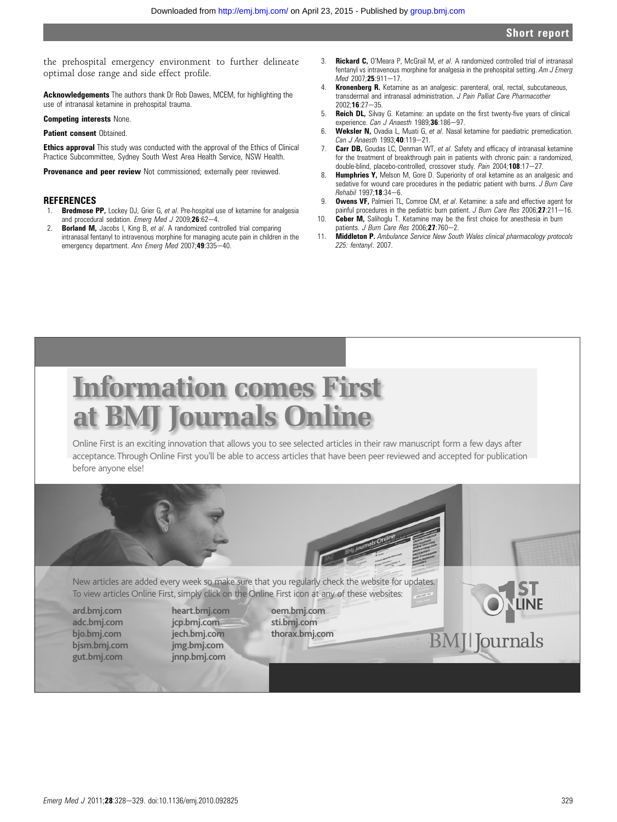the prehospital emergency environment to further delineate optimal dose range and side effect profile.

Acknowledgements The authors thank Dr Rob Dawes, MCEM, for highlighting the use of intranasal ketamine in prehospital trauma.

Competing interests None.

#### Patient consent Obtained

**Ethics approval** This study was conducted with the approval of the Ethics of Clinical Practice Subcommittee, Sydney South West Area Health Service, NSW Health.

**Provenance and peer review** Not commissioned; externally peer reviewed.

#### **REFERENCES**

- 1. **Bredmose PP,** Lockey DJ, Grier G, et al. Pre-hospital use of ketamine for analgesia and procedural sedation. Emerg Med J 2009:26:62-4.
- 2. **Borland M,** Jacobs I, King B, et al. A randomized controlled trial comparing intranasal fentanyl to intravenous morphine for managing acute pain in children in the emergency department. Ann Emerg Med 2007;49:335-40.
- 3. **Rickard C**, O'Meara P, McGrail M, et al. A randomized controlled trial of intranasal fentanyl vs intravenous morphine for analgesia in the prehospital setting. Am J Emerg Med 2007;25:911-17.
- Kronenberg R. Ketamine as an analgesic: parenteral, oral, rectal, subcutaneous, transdermal and intranasal administration. *J Pain Palliat Care Pharmacother*  $2002 \cdot 16 \cdot 27 - 35$
- 5. Reich DL, Silvay G. Ketamine: an update on the first twenty-five years of clinical experience. Can J Anaesth 1989;36:186-97.
- 6. Weksler N, Ovadia L, Muati G, et al. Nasal ketamine for paediatric premedication. Can J Anaesth 1993;40:119-21.
- 7. **Carr DB,** Goudas LC, Denman WT, et al. Safety and efficacy of intranasal ketamine for the treatment of breakthrough pain in patients with chronic pain: a randomized, double-blind, placebo-controlled, crossover study. Pain 2004;108:17-27.
- 8. **Humphries Y,** Melson M, Gore D. Superiority of oral ketamine as an analgesic and sedative for wound care procedures in the pediatric patient with burns. *J Burn Care*  $Rehabil$  1997;18:34-6.
- 9. **Owens VF,** Palmieri TL, Comroe CM, et al. Ketamine: a safe and effective agent for painful procedures in the pediatric burn patient. J Burn Care Res 2006;27:211-16.
- 10. **Ceber M,** Salihoglu T. Ketamine may be the first choice for anesthesia in burn patients. J Burn Care Res 2006; $27:760-2$ .
- 11. Middleton P. Ambulance Service New South Wales clinical pharmacology protocols 225: fentanyl. 2007.

# **Information comes First at BMJ Journals Online**

Online First is an exciting innovation that allows you to see selected articles in their raw manuscript form a few days after acceptance. Through Online First you'll be able to access articles that have been peer reviewed and accepted for publication before anyone else!